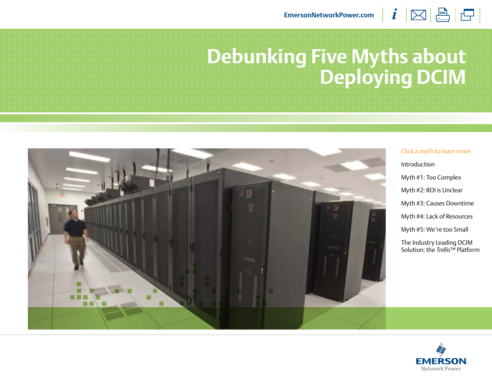$i \boxtimes \boxplus \boxminus$ **[EmersonNetworkPower.com](http://www.emersonnetworkpower.com)**

# **Debunking Five Myths about Deploying DCIM**



Click a myth to learn more [Introduction](#page-1-0) [Myth #1](#page-2-0): [Too Complex](#page-2-0) [Myth #2](#page-3-0): [ROI is Unclear](#page-3-0) [Myth #3](#page-4-0): [Causes Downtime](#page-4-0) [Myth #4](#page-5-0): [Lack of Resources](#page-5-0) [Myth #5](#page-6-0): [We're too Small](#page-6-0) [The Industry Leading DCIM](#page-7-0)  [Solution: the](#page-7-0) *Trellis*™ Platform

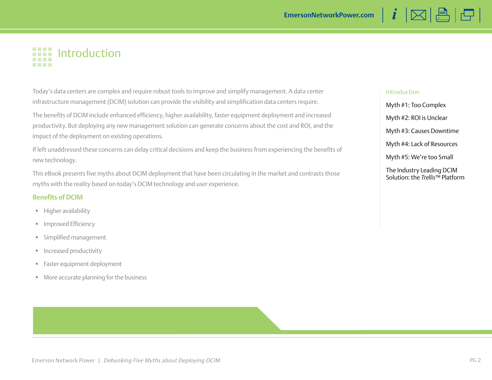## <span id="page-1-0"></span>**IIII** Introduction

Today's data centers are complex and require robust tools to improve and simplify management. A data center infrastructure management (DCIM) solution can provide the visibility and simplification data centers require.

The benefits of DCIM include enhanced efficiency, higher availability, faster equipment deployment and increased productivity. But deploying any new management solution can generate concerns about the cost and ROI, and the impact of the deployment on existing operations.

If left unaddressed these concerns can delay critical decisions and keep the business from experiencing the benefits of new technology.

This eBook presents five myths about DCIM deployment that have been circulating in the market and contrasts those myths with the reality based on today's DCIM technology and user experience.

### **Benefits of DCIM**

- **Higher availability**
- **Improved Efficiency**
- Simplified management
- **Increased productivity**
- **Faster equipment deployment**
- More accurate planning for the business

### Introduction

[Myth #1](#page-2-0): [Too Complex](#page-2-0) [Myth #2](#page-3-0): [ROI is Unclear](#page-3-0) [Myth #3](#page-4-0): [Causes Downtime](#page-4-0)

 $i \boxtimes \boxplus \boxminus$ 

[Myth #4](#page-5-0): [Lack of Resources](#page-5-0)

[Myth #5](#page-6-0): [We're too Small](#page-6-0)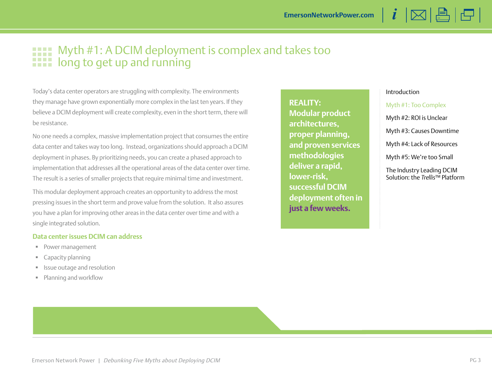## <span id="page-2-0"></span>Myth #1: A DCIM deployment is complex and takes too **HILE** Myth #1: A DCIM deployment is a long to get up and running

Today's data center operators are struggling with complexity. The environments they manage have grown exponentially more complex in the last ten years. If they believe a DCIM deployment will create complexity, even in the short term, there will be resistance.

No one needs a complex, massive implementation project that consumes the entire data center and takes way too long. Instead, organizations should approach a DCIM deployment in phases. By prioritizing needs, you can create a phased approach to implementation that addresses all the operational areas of the data center over time. The result is a series of smaller projects that require minimal time and investment.

This modular deployment approach creates an opportunity to address the most pressing issues in the short term and prove value from the solution. It also assures you have a plan for improving other areas in the data center over time and with a single integrated solution.

### **Data center issues DCIM can address**

- Power management
- **Capacity planning**
- **In Itsue outage and resolution**
- Planning and workflow

**REALITY: Modular product architectures, proper planning, and proven services methodologies deliver a rapid, lower-risk, successful DCIM deployment often in just a few weeks.**

### [Introduction](#page-1-0)

Myth #1: Too Complex

[Myth #2](#page-3-0): [ROI is Unclear](#page-3-0)

[Myth #3](#page-4-0): [Causes Downtime](#page-4-0)

 $i \boxtimes \boxplus \boxminus$ 

[Myth #4](#page-5-0): [Lack of Resources](#page-5-0)

[Myth #5](#page-6-0): [We're too Small](#page-6-0)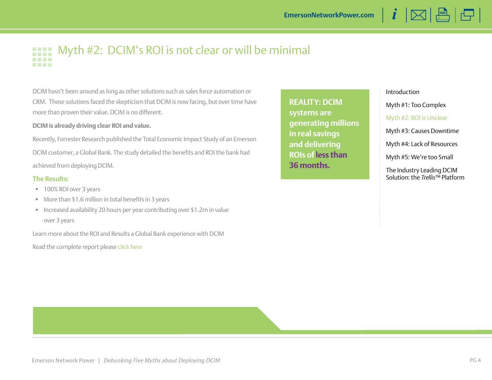<span id="page-3-0"></span>

DCIM hasn't been around as long as other solutions such as sales force automation or CRM. Those solutions faced the skepticism that DCIM is now facing, but over time have more than proven their value. DCIM is no different.

### **DCIM is already driving clear ROI and value.**

Recently, Forrester Research published the Total Economic Impact Study of an Emerson DCIM customer, a Global Bank. The study detailed the benefits and ROI the bank had achieved from deploying DCIM.

### **The Results:**

- 100% ROI over 3 years
- More than \$1.6 million in total benefits in 3 years
- Increased availability 20 hours per year contributing over \$1.2m in value over 3 years

Learn more about the ROI and Results a Global Bank experience with DCIM

Read the complete report please [click here](http://go.emersonnetworkpower.com/tei)

**REALITY: DCIM systems are generating millions in real savings and delivering ROIs of less than 36 months.**

[Introduction](#page-1-0)

[Myth #1](#page-2-0): [Too Complex](#page-2-0)

Myth #2: ROI is Unclear

[Myth #3](#page-4-0): [Causes Downtime](#page-4-0)

 $i \boxtimes \Box \boxminus$ 

[Myth #4](#page-5-0): [Lack of Resources](#page-5-0)

[Myth #5](#page-6-0): [We're too Small](#page-6-0)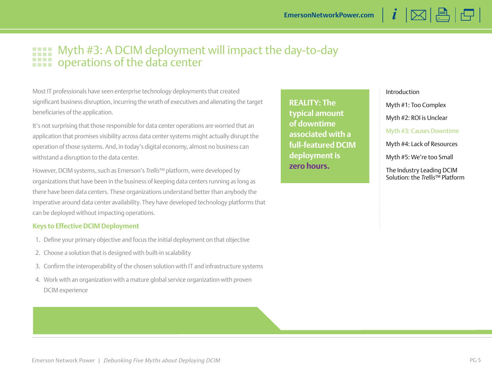### <span id="page-4-0"></span>Myth #3: A DCIM deployment will impact the day-to-day **THE Myth #3: A DCIM deployment**<br>**THE operations of the data center**

Most IT professionals have seen enterprise technology deployments that created significant business disruption, incurring the wrath of executives and alienating the target beneficiaries of the application.

It's not surprising that those responsible for data center operations are worried that an application that promises visibility across data center systems might actually disrupt the operation of those systems. And, in today's digital economy, almost no business can withstand a disruption to the data center.

However, DCIM systems, such as Emerson's *Trellis*™ platform, were developed by organizations that have been in the business of keeping data centers running as long as there have been data centers. These organizations understand better than anybody the imperative around data center availability. They have developed technology platforms that can be deployed without impacting operations.

### **Keys to Effective DCIM Deployment**

- 1. Define your primary objective and focus the initial deployment on that objective
- 2. Choose a solution that is designed with built-in scalability
- 3. Confirm the interoperability of the chosen solution with IT and infrastructure systems
- 4. Work with an organization with a mature global service organization with proven DCIM experience

**REALITY: The typical amount of downtime associated with a full-featured DCIM deployment is zero hours.**

### [Introduction](#page-1-0)

[Myth #1](#page-2-0): [Too Complex](#page-2-0)

[Myth #2](#page-3-0): [ROI is Unclear](#page-3-0)

Myth #3: Causes Downtime

 $i \boxtimes \boxplus \boxminus$ 

[Myth #4](#page-5-0): [Lack of Resources](#page-5-0)

[Myth #5](#page-6-0): [We're too Small](#page-6-0)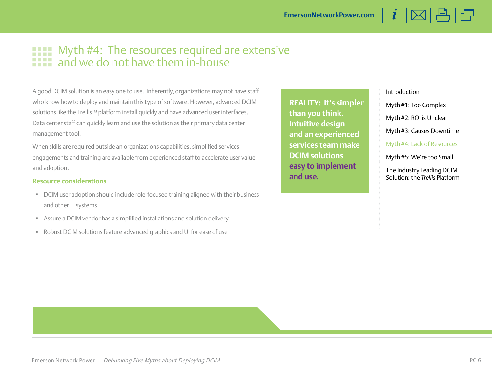### <span id="page-5-0"></span>Myth #4: The resources required are extensive and we do not have them in-house

A good DCIM solution is an easy one to use. Inherently, organizations may not have staff who know how to deploy and maintain this type of software. However, advanced DCIM solutions like the Trellis™ platform install quickly and have advanced user interfaces. Data center staff can quickly learn and use the solution as their primary data center management tool.

When skills are required outside an organizations capabilities, simplified services engagements and training are available from experienced staff to accelerate user value and adoption.

### **Resource considerations**

- DCIM user adoption should include role-focused training aligned with their business and other IT systems
- Assure a DCIM vendor has a simplified installations and solution delivery
- Robust DCIM solutions feature advanced graphics and UI for ease of use

**REALITY: It's simpler than you think. Intuitive design and an experienced services team make DCIM solutions easy to implement and use.**

### [Introduction](#page-1-0)

[Myth #1](#page-2-0): [Too Complex](#page-2-0)

[Myth #2](#page-3-0): [ROI is Unclear](#page-3-0)

[Myth #3](#page-4-0): [Causes Downtime](#page-4-0)

 $i \boxtimes \boxplus \boxminus$ 

Myth #4: Lack of Resources

[Myth #5](#page-6-0): [We're too Small](#page-6-0)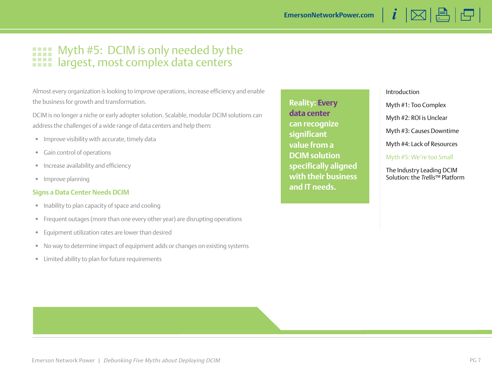### <span id="page-6-0"></span>Myth #5: DCIM is only needed by the m **1111** largest, most complex data centers

Almost every organization is looking to improve operations, increase efficiency and enable the business for growth and transformation.

DCIM is no longer a niche or early adopter solution. Scalable, modular DCIM solutions can address the challenges of a wide range of data centers and help them:

- **IMPROVE VISIBILITY WITH ACCUTATE, timely data**
- Gain control of operations
- **Increase availability and efficiency**
- **Improve planning**

### **Signs a Data Center Needs DCIM**

- **Inability to plan capacity of space and cooling**
- Frequent outages (more than one every other year) are disrupting operations
- Equipment utilization rates are lower than desired
- No way to determine impact of equipment adds or changes on existing systems
- **EXEC** Limited ability to plan for future requirements

**Reality: Every data center can recognize significant value from a DCIM solution specifically aligned with their business and IT needs.**

#### [Introduction](#page-1-0)

[Myth #1](#page-2-0): [Too Complex](#page-2-0)

[Myth #2](#page-3-0): [ROI is Unclear](#page-3-0)

[Myth #3](#page-4-0): [Causes Downtime](#page-4-0)

 $i \boxtimes \boxplus \boxminus$ 

[Myth #4](#page-5-0): [Lack of Resources](#page-5-0)

Myth #5: We're too Small